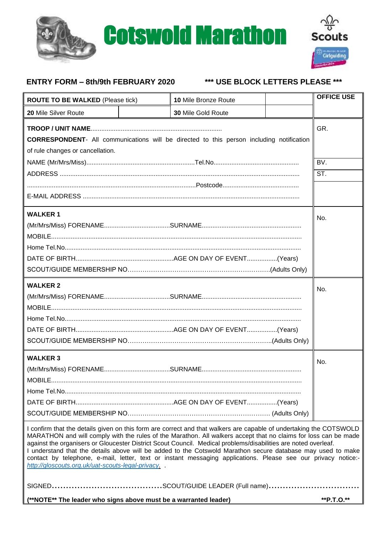



# **ENTRY FORM – 8th/9th FEBRUARY 2020 \*\*\* USE BLOCK LETTERS PLEASE \*\*\***

| <b>ROUTE TO BE WALKED (Please tick)</b>                                                                                                                                                                                                                                                                                                                                                                                                                                                                                                                                                                                                      |  | 10 Mile Bronze Route |  | <b>OFFICE USE</b> |  |
|----------------------------------------------------------------------------------------------------------------------------------------------------------------------------------------------------------------------------------------------------------------------------------------------------------------------------------------------------------------------------------------------------------------------------------------------------------------------------------------------------------------------------------------------------------------------------------------------------------------------------------------------|--|----------------------|--|-------------------|--|
| 20 Mile Silver Route                                                                                                                                                                                                                                                                                                                                                                                                                                                                                                                                                                                                                         |  | 30 Mile Gold Route   |  |                   |  |
| <b>CORRESPONDENT-</b> All communications will be directed to this person including notification<br>of rule changes or cancellation.                                                                                                                                                                                                                                                                                                                                                                                                                                                                                                          |  |                      |  |                   |  |
|                                                                                                                                                                                                                                                                                                                                                                                                                                                                                                                                                                                                                                              |  |                      |  |                   |  |
|                                                                                                                                                                                                                                                                                                                                                                                                                                                                                                                                                                                                                                              |  |                      |  | ST.               |  |
|                                                                                                                                                                                                                                                                                                                                                                                                                                                                                                                                                                                                                                              |  |                      |  |                   |  |
|                                                                                                                                                                                                                                                                                                                                                                                                                                                                                                                                                                                                                                              |  |                      |  |                   |  |
| <b>WALKER 1</b>                                                                                                                                                                                                                                                                                                                                                                                                                                                                                                                                                                                                                              |  |                      |  |                   |  |
| <b>WALKER 2</b>                                                                                                                                                                                                                                                                                                                                                                                                                                                                                                                                                                                                                              |  |                      |  | No.               |  |
| <b>WALKER 3</b><br>MOBILE.                                                                                                                                                                                                                                                                                                                                                                                                                                                                                                                                                                                                                   |  |                      |  | No.               |  |
| I confirm that the details given on this form are correct and that walkers are capable of undertaking the COTSWOLD<br>MARATHON and will comply with the rules of the Marathon. All walkers accept that no claims for loss can be made<br>against the organisers or Gloucester District Scout Council. Medical problems/disabilities are noted overleaf.<br>I understand that the details above will be added to the Cotswold Marathon secure database may used to make<br>contact by telephone, e-mail, letter, text or instant messaging applications. Please see our privacy notice:-<br>http://gloscouts.org.uk/uat-scouts-legal-privacy. |  |                      |  |                   |  |
|                                                                                                                                                                                                                                                                                                                                                                                                                                                                                                                                                                                                                                              |  |                      |  |                   |  |
| (**NOTE** The leader who signs above must be a warranted leader)                                                                                                                                                                                                                                                                                                                                                                                                                                                                                                                                                                             |  |                      |  | **P.T.O.**        |  |